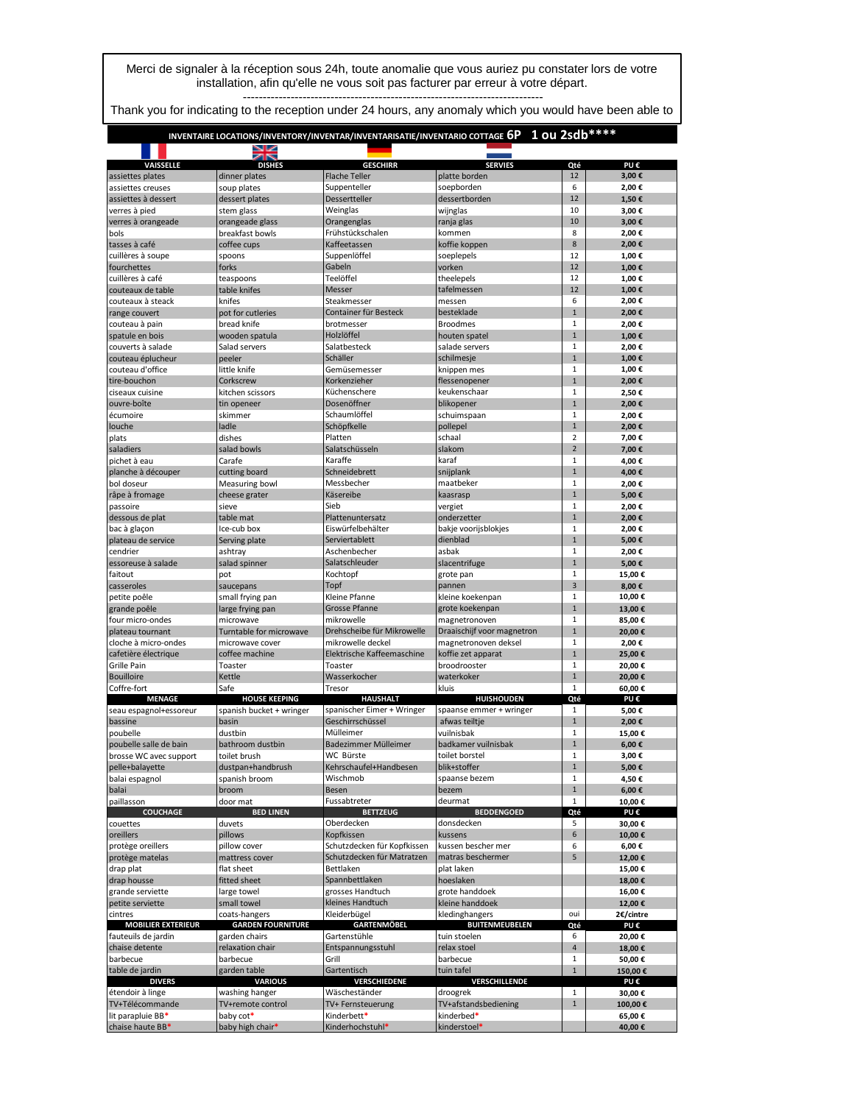Merci de signaler à la réception sous 24h, toute anomalie que vous auriez pu constater lors de votre installation, afin qu'elle ne vous soit pas facturer par erreur à votre départ. ---------------------------------------------------------------------------

Thank you for indicating to the reception under 24 hours, any anomaly which you would have been able to

## **INVENTAIRE LOCATIONS/INVENTORY/INVENTAR/INVENTARISATIE/INVENTARIO COTTAGE 6P 1 ou 2sdb\*\*\*\***

| dinner plates<br>12<br>3,00€<br>assiettes plates<br><b>Flache Teller</b><br>platte borden<br>6<br>2,00€<br>assiettes creuses<br>soup plates<br>Suppenteller<br>soepborden<br>12<br>Dessertteller<br>dessertborden<br>assiettes à dessert<br>dessert plates<br>1,50€<br>10<br>verres à pied<br>stem glass<br>Weinglas<br>wijnglas<br>3,00€<br>10<br>verres à orangeade<br>orangeade glass<br>Orangenglas<br>3,00€<br>ranja glas<br>8<br>Frühstückschalen<br>2,00€<br>breakfast bowls<br>kommen<br>bols<br>8<br>2,00€<br>Kaffeetassen<br>koffie koppen<br>tasses à café<br>coffee cups<br>12<br>cuillères à soupe<br>Suppenlöffel<br>1,00€<br>spoons<br>soeplepels<br>Gabeln<br>12<br>fourchettes<br>forks<br>vorken<br>1,00€<br>Teelöffel<br>12<br>cuillères à café<br>1,00€<br>teaspoons<br>theelepels<br>12<br>1,00€<br>couteaux de table<br>table knifes<br>Messer<br>tafelmessen<br>6<br>2,00€<br>couteaux à steack<br>knifes<br>Steakmesser<br>messen<br>$\mathbf 1$<br>2.00€<br>pot for cutleries<br>Container für Besteck<br>besteklade<br>range couvert<br>brotmesser<br><b>Broodmes</b><br>$\mathbf{1}$<br>bread knife<br>2,00€<br>couteau à pain<br>Holzlöffel<br>$\mathbf{1}$<br>spatule en bois<br>wooden spatula<br>houten spatel<br>1,00€<br>$\mathbf{1}$<br>Salathesteck<br>couverts à salade<br>Salad servers<br>salade servers<br>2,00€<br>$\mathbf 1$<br>Schäller<br>1,00€<br>couteau éplucheur<br>peeler<br>schilmesje<br>$\mathbf 1$<br>couteau d'office<br>little knife<br>Gemüsemesser<br>knippen mes<br>1,00€<br>Korkenzieher<br>flessenopener<br>$\mathbf 1$<br>2,00€<br>tire-bouchon<br>Corkscrew<br>$\mathbf 1$<br>Küchenschere<br>keukenschaar<br>ciseaux cuisine<br>kitchen scissors<br>2,50€<br>Dosenöffner<br>$\mathbf{1}$<br>2,00€<br>blikopener<br>tin openeer<br>$\mathbf 1$<br>skimmer<br>Schaumlöffel<br>schuimspaan<br>2,00€<br>Schöpfkelle<br>pollepel<br>$\mathbf 1$<br>ladle<br>2,00€<br>$\overline{2}$<br>dishes<br>Platten<br>schaal<br>7,00€<br>$\overline{2}$<br>Salatschüsseln<br>slakom<br>salad bowls<br>7,00€<br>$\mathbf 1$<br>Carafe<br>Karaffe<br>karaf<br>4,00€<br>$\overline{1}$<br>Schneidebrett<br>cutting board<br>snijplank<br>4,00€<br>Messbecher<br>maatbeker<br>$\mathbf 1$<br>Measuring bowl<br>2,00€<br>$\mathbf{1}$<br>Käsereibe<br>kaasrasp<br>5,00€<br>cheese grater<br>$\mathbf{1}$<br>sieve<br>Sieb<br>2,00€<br>vergiet<br>$\mathbf 1$<br>table mat<br>Plattenuntersatz<br>onderzetter<br>2,00€<br>Eiswürfelbehälter<br>bakje voorijsblokjes<br>$\mathbf{1}$<br>Ice-cub box<br>2,00€<br>$\mathbf 1$<br>5,00€<br>Serviertablett<br>dienblad<br>Serving plate<br>$\mathbf{1}$<br>Aschenbecher<br>asbak<br>2,00€<br>ashtray<br>$\mathbf{1}$<br>salad spinner<br>Salatschleuder<br>slacentrifuge<br>5,00€<br>Kochtopf<br>$\mathbf 1$<br>15,00€<br>pot<br>grote pan<br>3<br>Topf<br>saucepans<br>pannen<br>8,00€<br>$\mathbf 1$<br>Kleine Pfanne<br>kleine koekenpan<br>10,00€<br>small frying pan<br>$\overline{1}$<br><b>Grosse Pfanne</b><br>large frying pan<br>grote koekenpan<br>13,00€<br>mikrowelle<br>$\mathbf 1$<br>magnetronoven<br>microwave<br>85,00€<br>$\mathbf 1$<br>Drehscheibe für Mikrowelle<br>Draaischijf voor magnetron<br>Turntable for microwave<br>20,00€<br>$\mathbf 1$<br>mikrowelle deckel<br>magnetronoven deksel<br>2,00€<br>microwave cover<br>$\mathbf{1}$<br>coffee machine<br>Elektrische Kaffeemaschine<br>koffie zet apparat<br>25,00€<br>$\mathbf 1$<br>Toaster<br>Toaster<br>broodrooster<br>20,00€<br>$\mathbf 1$<br>Kettle<br>Wasserkocher<br>waterkoker<br>20,00€<br>$\mathbf{1}$<br>Safe<br>kluis<br>Tresor<br>60.00€<br><b>HAUSHALT</b><br><b>MENAGE</b><br><b>HUISHOUDEN</b><br>Qté<br>PU€<br><b>HOUSE KEEPING</b><br>spanischer Eimer + Wringer<br>spanish bucket + wringer<br>spaanse emmer + wringer<br>1<br>5,00€<br>Geschirrschüssel<br>$\mathbf 1$<br>afwas teiltje<br>2,00€<br>basin<br>$\mathbf 1$<br>dustbin<br>Mülleimer<br>vuilnisbak<br>15,00€<br>bathroom dustbin<br>Badezimmer Mülleimer<br>badkamer vuilnisbak<br>$\mathbf 1$<br>6,00€<br>WC Bürste<br>toilet borstel<br>$\mathbf 1$<br>toilet brush<br>3,00€<br>$\mathbf{1}$<br>Kehrschaufel+Handbesen<br>blik+stoffer<br>dustpan+handbrush<br>5,00€<br>$\mathbf 1$<br>4,50€<br>spanish broom<br>Wischmob<br>spaanse bezem<br>$\mathbf 1$<br>6,00€<br>broom<br>Besen<br>bezem<br>Fussabtreter<br>deurmat<br>door mat<br>$\mathbf{1}$<br>10,00€<br><b>COUCHAGE</b><br><b>BED LINEN</b><br><b>BETTZEUG</b><br><b>BEDDENGOED</b><br>Qté<br>PU€<br>Oberdecken<br>5<br>duvets<br>donsdecken<br>30,00€<br>Kopfkissen<br>6<br>pillows<br>kussens<br>10,00€<br>Schutzdecken für Kopfkissen<br>6<br>kussen bescher mer<br>pillow cover<br>6,00€<br>5<br>Schutzdecken für Matratzen<br>mattress cover<br>matras beschermer<br>12,00€<br>flat sheet<br>Bettlaken<br>plat laken<br>15,00€<br>Spannbettlaken<br>hoeslaken<br>18,00€<br>fitted sheet<br>grosses Handtuch<br>grote handdoek<br>large towel<br>16,00€<br>small towel<br>kleines Handtuch<br>kleine handdoek<br>12,00€<br>coats-hangers<br>Kleiderbügel<br>kledinghangers<br>oui<br>2€/cintre<br><b>MOBILIER EXTERIEUR</b><br><b>GARDEN FOURNITURE</b><br><b>GARTENMÖBEL</b><br><b>BUITENMEUBELEN</b><br>Qté<br>PU€<br>6<br>garden chairs<br>Gartenstühle<br>tuin stoelen<br>20,00€<br>relaxation chair<br>Entspannungsstuhl<br>relax stoel<br>4<br>18,00€<br>barbecue<br>Grill<br>$\mathbf 1$<br>barbecue<br>50,00€<br>garden table<br>Gartentisch<br>tuin tafel<br>$\mathbf{1}$<br>150,00€<br><b>DIVERS</b><br><b>VARIOUS</b><br>VERSCHIEDENE<br>VERSCHILLENDE<br>PU€<br>washing hanger<br>$\mathbf{1}$<br>Wäscheständer<br>droogrek<br>30,00€<br>TV+afstandsbediening<br>$\mathbf{1}$<br>TV+remote control<br>TV+ Fernsteuerung<br>100,00€<br>lit parapluie BB*<br>baby cot*<br>kinderbed*<br>Kinderbett*<br>65,00€ |                        |                  |                  |                |     |        |
|-----------------------------------------------------------------------------------------------------------------------------------------------------------------------------------------------------------------------------------------------------------------------------------------------------------------------------------------------------------------------------------------------------------------------------------------------------------------------------------------------------------------------------------------------------------------------------------------------------------------------------------------------------------------------------------------------------------------------------------------------------------------------------------------------------------------------------------------------------------------------------------------------------------------------------------------------------------------------------------------------------------------------------------------------------------------------------------------------------------------------------------------------------------------------------------------------------------------------------------------------------------------------------------------------------------------------------------------------------------------------------------------------------------------------------------------------------------------------------------------------------------------------------------------------------------------------------------------------------------------------------------------------------------------------------------------------------------------------------------------------------------------------------------------------------------------------------------------------------------------------------------------------------------------------------------------------------------------------------------------------------------------------------------------------------------------------------------------------------------------------------------------------------------------------------------------------------------------------------------------------------------------------------------------------------------------------------------------------------------------------------------------------------------------------------------------------------------------------------------------------------------------------------------------------------------------------------------------------------------------------------------------------------------------------------------------------------------------------------------------------------------------------------------------------------------------------------------------------------------------------------------------------------------------------------------------------------------------------------------------------------------------------------------------------------------------------------------------------------------------------------------------------------------------------------------------------------------------------------------------------------------------------------------------------------------------------------------------------------------------------------------------------------------------------------------------------------------------------------------------------------------------------------------------------------------------------------------------------------------------------------------------------------------------------------------------------------------------------------------------------------------------------------------------------------------------------------------------------------------------------------------------------------------------------------------------------------------------------------------------------------------------------------------------------------------------------------------------------------------------------------------------------------------------------------------------------------------------------------------------------------------------------------------------------------------------------------------------------------------------------------------------------------------------------------------------------------------------------------------------------------------------------------------------------------------------------------------------------------------------------------------------------------------------------------------------------------------------------------------------------------------------------------------------------------------------------------------------------------------------------------------------------------------------------------------------------------------------------------------------------------------------------------------------------------------------------------------------------------------------------------------------------------------------------------------------------------------------------------------------------------------------------------------------------------------------------------------------------------------------------------------------------------------------------------------------------------------------------------------------------------------------------------------------------------------------------------------------------------------------------------------------------------------------------------------------------------------------------------------------------------------------------------------------------------------------------------------------------|------------------------|------------------|------------------|----------------|-----|--------|
|                                                                                                                                                                                                                                                                                                                                                                                                                                                                                                                                                                                                                                                                                                                                                                                                                                                                                                                                                                                                                                                                                                                                                                                                                                                                                                                                                                                                                                                                                                                                                                                                                                                                                                                                                                                                                                                                                                                                                                                                                                                                                                                                                                                                                                                                                                                                                                                                                                                                                                                                                                                                                                                                                                                                                                                                                                                                                                                                                                                                                                                                                                                                                                                                                                                                                                                                                                                                                                                                                                                                                                                                                                                                                                                                                                                                                                                                                                                                                                                                                                                                                                                                                                                                                                                                                                                                                                                                                                                                                                                                                                                                                                                                                                                                                                                                                                                                                                                                                                                                                                                                                                                                                                                                                                                                                                                                                                                                                                                                                                                                                                                                                                                                                                                                                                                                                                               | VAISSELLE              | <b>DISHES</b>    | <b>GESCHIRR</b>  | <b>SERVIES</b> | Qté | PU€    |
|                                                                                                                                                                                                                                                                                                                                                                                                                                                                                                                                                                                                                                                                                                                                                                                                                                                                                                                                                                                                                                                                                                                                                                                                                                                                                                                                                                                                                                                                                                                                                                                                                                                                                                                                                                                                                                                                                                                                                                                                                                                                                                                                                                                                                                                                                                                                                                                                                                                                                                                                                                                                                                                                                                                                                                                                                                                                                                                                                                                                                                                                                                                                                                                                                                                                                                                                                                                                                                                                                                                                                                                                                                                                                                                                                                                                                                                                                                                                                                                                                                                                                                                                                                                                                                                                                                                                                                                                                                                                                                                                                                                                                                                                                                                                                                                                                                                                                                                                                                                                                                                                                                                                                                                                                                                                                                                                                                                                                                                                                                                                                                                                                                                                                                                                                                                                                                               |                        |                  |                  |                |     |        |
|                                                                                                                                                                                                                                                                                                                                                                                                                                                                                                                                                                                                                                                                                                                                                                                                                                                                                                                                                                                                                                                                                                                                                                                                                                                                                                                                                                                                                                                                                                                                                                                                                                                                                                                                                                                                                                                                                                                                                                                                                                                                                                                                                                                                                                                                                                                                                                                                                                                                                                                                                                                                                                                                                                                                                                                                                                                                                                                                                                                                                                                                                                                                                                                                                                                                                                                                                                                                                                                                                                                                                                                                                                                                                                                                                                                                                                                                                                                                                                                                                                                                                                                                                                                                                                                                                                                                                                                                                                                                                                                                                                                                                                                                                                                                                                                                                                                                                                                                                                                                                                                                                                                                                                                                                                                                                                                                                                                                                                                                                                                                                                                                                                                                                                                                                                                                                                               |                        |                  |                  |                |     |        |
|                                                                                                                                                                                                                                                                                                                                                                                                                                                                                                                                                                                                                                                                                                                                                                                                                                                                                                                                                                                                                                                                                                                                                                                                                                                                                                                                                                                                                                                                                                                                                                                                                                                                                                                                                                                                                                                                                                                                                                                                                                                                                                                                                                                                                                                                                                                                                                                                                                                                                                                                                                                                                                                                                                                                                                                                                                                                                                                                                                                                                                                                                                                                                                                                                                                                                                                                                                                                                                                                                                                                                                                                                                                                                                                                                                                                                                                                                                                                                                                                                                                                                                                                                                                                                                                                                                                                                                                                                                                                                                                                                                                                                                                                                                                                                                                                                                                                                                                                                                                                                                                                                                                                                                                                                                                                                                                                                                                                                                                                                                                                                                                                                                                                                                                                                                                                                                               |                        |                  |                  |                |     |        |
|                                                                                                                                                                                                                                                                                                                                                                                                                                                                                                                                                                                                                                                                                                                                                                                                                                                                                                                                                                                                                                                                                                                                                                                                                                                                                                                                                                                                                                                                                                                                                                                                                                                                                                                                                                                                                                                                                                                                                                                                                                                                                                                                                                                                                                                                                                                                                                                                                                                                                                                                                                                                                                                                                                                                                                                                                                                                                                                                                                                                                                                                                                                                                                                                                                                                                                                                                                                                                                                                                                                                                                                                                                                                                                                                                                                                                                                                                                                                                                                                                                                                                                                                                                                                                                                                                                                                                                                                                                                                                                                                                                                                                                                                                                                                                                                                                                                                                                                                                                                                                                                                                                                                                                                                                                                                                                                                                                                                                                                                                                                                                                                                                                                                                                                                                                                                                                               |                        |                  |                  |                |     |        |
|                                                                                                                                                                                                                                                                                                                                                                                                                                                                                                                                                                                                                                                                                                                                                                                                                                                                                                                                                                                                                                                                                                                                                                                                                                                                                                                                                                                                                                                                                                                                                                                                                                                                                                                                                                                                                                                                                                                                                                                                                                                                                                                                                                                                                                                                                                                                                                                                                                                                                                                                                                                                                                                                                                                                                                                                                                                                                                                                                                                                                                                                                                                                                                                                                                                                                                                                                                                                                                                                                                                                                                                                                                                                                                                                                                                                                                                                                                                                                                                                                                                                                                                                                                                                                                                                                                                                                                                                                                                                                                                                                                                                                                                                                                                                                                                                                                                                                                                                                                                                                                                                                                                                                                                                                                                                                                                                                                                                                                                                                                                                                                                                                                                                                                                                                                                                                                               |                        |                  |                  |                |     |        |
|                                                                                                                                                                                                                                                                                                                                                                                                                                                                                                                                                                                                                                                                                                                                                                                                                                                                                                                                                                                                                                                                                                                                                                                                                                                                                                                                                                                                                                                                                                                                                                                                                                                                                                                                                                                                                                                                                                                                                                                                                                                                                                                                                                                                                                                                                                                                                                                                                                                                                                                                                                                                                                                                                                                                                                                                                                                                                                                                                                                                                                                                                                                                                                                                                                                                                                                                                                                                                                                                                                                                                                                                                                                                                                                                                                                                                                                                                                                                                                                                                                                                                                                                                                                                                                                                                                                                                                                                                                                                                                                                                                                                                                                                                                                                                                                                                                                                                                                                                                                                                                                                                                                                                                                                                                                                                                                                                                                                                                                                                                                                                                                                                                                                                                                                                                                                                                               |                        |                  |                  |                |     |        |
|                                                                                                                                                                                                                                                                                                                                                                                                                                                                                                                                                                                                                                                                                                                                                                                                                                                                                                                                                                                                                                                                                                                                                                                                                                                                                                                                                                                                                                                                                                                                                                                                                                                                                                                                                                                                                                                                                                                                                                                                                                                                                                                                                                                                                                                                                                                                                                                                                                                                                                                                                                                                                                                                                                                                                                                                                                                                                                                                                                                                                                                                                                                                                                                                                                                                                                                                                                                                                                                                                                                                                                                                                                                                                                                                                                                                                                                                                                                                                                                                                                                                                                                                                                                                                                                                                                                                                                                                                                                                                                                                                                                                                                                                                                                                                                                                                                                                                                                                                                                                                                                                                                                                                                                                                                                                                                                                                                                                                                                                                                                                                                                                                                                                                                                                                                                                                                               |                        |                  |                  |                |     |        |
|                                                                                                                                                                                                                                                                                                                                                                                                                                                                                                                                                                                                                                                                                                                                                                                                                                                                                                                                                                                                                                                                                                                                                                                                                                                                                                                                                                                                                                                                                                                                                                                                                                                                                                                                                                                                                                                                                                                                                                                                                                                                                                                                                                                                                                                                                                                                                                                                                                                                                                                                                                                                                                                                                                                                                                                                                                                                                                                                                                                                                                                                                                                                                                                                                                                                                                                                                                                                                                                                                                                                                                                                                                                                                                                                                                                                                                                                                                                                                                                                                                                                                                                                                                                                                                                                                                                                                                                                                                                                                                                                                                                                                                                                                                                                                                                                                                                                                                                                                                                                                                                                                                                                                                                                                                                                                                                                                                                                                                                                                                                                                                                                                                                                                                                                                                                                                                               |                        |                  |                  |                |     |        |
|                                                                                                                                                                                                                                                                                                                                                                                                                                                                                                                                                                                                                                                                                                                                                                                                                                                                                                                                                                                                                                                                                                                                                                                                                                                                                                                                                                                                                                                                                                                                                                                                                                                                                                                                                                                                                                                                                                                                                                                                                                                                                                                                                                                                                                                                                                                                                                                                                                                                                                                                                                                                                                                                                                                                                                                                                                                                                                                                                                                                                                                                                                                                                                                                                                                                                                                                                                                                                                                                                                                                                                                                                                                                                                                                                                                                                                                                                                                                                                                                                                                                                                                                                                                                                                                                                                                                                                                                                                                                                                                                                                                                                                                                                                                                                                                                                                                                                                                                                                                                                                                                                                                                                                                                                                                                                                                                                                                                                                                                                                                                                                                                                                                                                                                                                                                                                                               |                        |                  |                  |                |     |        |
|                                                                                                                                                                                                                                                                                                                                                                                                                                                                                                                                                                                                                                                                                                                                                                                                                                                                                                                                                                                                                                                                                                                                                                                                                                                                                                                                                                                                                                                                                                                                                                                                                                                                                                                                                                                                                                                                                                                                                                                                                                                                                                                                                                                                                                                                                                                                                                                                                                                                                                                                                                                                                                                                                                                                                                                                                                                                                                                                                                                                                                                                                                                                                                                                                                                                                                                                                                                                                                                                                                                                                                                                                                                                                                                                                                                                                                                                                                                                                                                                                                                                                                                                                                                                                                                                                                                                                                                                                                                                                                                                                                                                                                                                                                                                                                                                                                                                                                                                                                                                                                                                                                                                                                                                                                                                                                                                                                                                                                                                                                                                                                                                                                                                                                                                                                                                                                               |                        |                  |                  |                |     |        |
|                                                                                                                                                                                                                                                                                                                                                                                                                                                                                                                                                                                                                                                                                                                                                                                                                                                                                                                                                                                                                                                                                                                                                                                                                                                                                                                                                                                                                                                                                                                                                                                                                                                                                                                                                                                                                                                                                                                                                                                                                                                                                                                                                                                                                                                                                                                                                                                                                                                                                                                                                                                                                                                                                                                                                                                                                                                                                                                                                                                                                                                                                                                                                                                                                                                                                                                                                                                                                                                                                                                                                                                                                                                                                                                                                                                                                                                                                                                                                                                                                                                                                                                                                                                                                                                                                                                                                                                                                                                                                                                                                                                                                                                                                                                                                                                                                                                                                                                                                                                                                                                                                                                                                                                                                                                                                                                                                                                                                                                                                                                                                                                                                                                                                                                                                                                                                                               |                        |                  |                  |                |     |        |
|                                                                                                                                                                                                                                                                                                                                                                                                                                                                                                                                                                                                                                                                                                                                                                                                                                                                                                                                                                                                                                                                                                                                                                                                                                                                                                                                                                                                                                                                                                                                                                                                                                                                                                                                                                                                                                                                                                                                                                                                                                                                                                                                                                                                                                                                                                                                                                                                                                                                                                                                                                                                                                                                                                                                                                                                                                                                                                                                                                                                                                                                                                                                                                                                                                                                                                                                                                                                                                                                                                                                                                                                                                                                                                                                                                                                                                                                                                                                                                                                                                                                                                                                                                                                                                                                                                                                                                                                                                                                                                                                                                                                                                                                                                                                                                                                                                                                                                                                                                                                                                                                                                                                                                                                                                                                                                                                                                                                                                                                                                                                                                                                                                                                                                                                                                                                                                               |                        |                  |                  |                |     |        |
|                                                                                                                                                                                                                                                                                                                                                                                                                                                                                                                                                                                                                                                                                                                                                                                                                                                                                                                                                                                                                                                                                                                                                                                                                                                                                                                                                                                                                                                                                                                                                                                                                                                                                                                                                                                                                                                                                                                                                                                                                                                                                                                                                                                                                                                                                                                                                                                                                                                                                                                                                                                                                                                                                                                                                                                                                                                                                                                                                                                                                                                                                                                                                                                                                                                                                                                                                                                                                                                                                                                                                                                                                                                                                                                                                                                                                                                                                                                                                                                                                                                                                                                                                                                                                                                                                                                                                                                                                                                                                                                                                                                                                                                                                                                                                                                                                                                                                                                                                                                                                                                                                                                                                                                                                                                                                                                                                                                                                                                                                                                                                                                                                                                                                                                                                                                                                                               |                        |                  |                  |                |     |        |
|                                                                                                                                                                                                                                                                                                                                                                                                                                                                                                                                                                                                                                                                                                                                                                                                                                                                                                                                                                                                                                                                                                                                                                                                                                                                                                                                                                                                                                                                                                                                                                                                                                                                                                                                                                                                                                                                                                                                                                                                                                                                                                                                                                                                                                                                                                                                                                                                                                                                                                                                                                                                                                                                                                                                                                                                                                                                                                                                                                                                                                                                                                                                                                                                                                                                                                                                                                                                                                                                                                                                                                                                                                                                                                                                                                                                                                                                                                                                                                                                                                                                                                                                                                                                                                                                                                                                                                                                                                                                                                                                                                                                                                                                                                                                                                                                                                                                                                                                                                                                                                                                                                                                                                                                                                                                                                                                                                                                                                                                                                                                                                                                                                                                                                                                                                                                                                               |                        |                  |                  |                |     |        |
|                                                                                                                                                                                                                                                                                                                                                                                                                                                                                                                                                                                                                                                                                                                                                                                                                                                                                                                                                                                                                                                                                                                                                                                                                                                                                                                                                                                                                                                                                                                                                                                                                                                                                                                                                                                                                                                                                                                                                                                                                                                                                                                                                                                                                                                                                                                                                                                                                                                                                                                                                                                                                                                                                                                                                                                                                                                                                                                                                                                                                                                                                                                                                                                                                                                                                                                                                                                                                                                                                                                                                                                                                                                                                                                                                                                                                                                                                                                                                                                                                                                                                                                                                                                                                                                                                                                                                                                                                                                                                                                                                                                                                                                                                                                                                                                                                                                                                                                                                                                                                                                                                                                                                                                                                                                                                                                                                                                                                                                                                                                                                                                                                                                                                                                                                                                                                                               |                        |                  |                  |                |     |        |
|                                                                                                                                                                                                                                                                                                                                                                                                                                                                                                                                                                                                                                                                                                                                                                                                                                                                                                                                                                                                                                                                                                                                                                                                                                                                                                                                                                                                                                                                                                                                                                                                                                                                                                                                                                                                                                                                                                                                                                                                                                                                                                                                                                                                                                                                                                                                                                                                                                                                                                                                                                                                                                                                                                                                                                                                                                                                                                                                                                                                                                                                                                                                                                                                                                                                                                                                                                                                                                                                                                                                                                                                                                                                                                                                                                                                                                                                                                                                                                                                                                                                                                                                                                                                                                                                                                                                                                                                                                                                                                                                                                                                                                                                                                                                                                                                                                                                                                                                                                                                                                                                                                                                                                                                                                                                                                                                                                                                                                                                                                                                                                                                                                                                                                                                                                                                                                               |                        |                  |                  |                |     |        |
|                                                                                                                                                                                                                                                                                                                                                                                                                                                                                                                                                                                                                                                                                                                                                                                                                                                                                                                                                                                                                                                                                                                                                                                                                                                                                                                                                                                                                                                                                                                                                                                                                                                                                                                                                                                                                                                                                                                                                                                                                                                                                                                                                                                                                                                                                                                                                                                                                                                                                                                                                                                                                                                                                                                                                                                                                                                                                                                                                                                                                                                                                                                                                                                                                                                                                                                                                                                                                                                                                                                                                                                                                                                                                                                                                                                                                                                                                                                                                                                                                                                                                                                                                                                                                                                                                                                                                                                                                                                                                                                                                                                                                                                                                                                                                                                                                                                                                                                                                                                                                                                                                                                                                                                                                                                                                                                                                                                                                                                                                                                                                                                                                                                                                                                                                                                                                                               |                        |                  |                  |                |     |        |
|                                                                                                                                                                                                                                                                                                                                                                                                                                                                                                                                                                                                                                                                                                                                                                                                                                                                                                                                                                                                                                                                                                                                                                                                                                                                                                                                                                                                                                                                                                                                                                                                                                                                                                                                                                                                                                                                                                                                                                                                                                                                                                                                                                                                                                                                                                                                                                                                                                                                                                                                                                                                                                                                                                                                                                                                                                                                                                                                                                                                                                                                                                                                                                                                                                                                                                                                                                                                                                                                                                                                                                                                                                                                                                                                                                                                                                                                                                                                                                                                                                                                                                                                                                                                                                                                                                                                                                                                                                                                                                                                                                                                                                                                                                                                                                                                                                                                                                                                                                                                                                                                                                                                                                                                                                                                                                                                                                                                                                                                                                                                                                                                                                                                                                                                                                                                                                               |                        |                  |                  |                |     |        |
|                                                                                                                                                                                                                                                                                                                                                                                                                                                                                                                                                                                                                                                                                                                                                                                                                                                                                                                                                                                                                                                                                                                                                                                                                                                                                                                                                                                                                                                                                                                                                                                                                                                                                                                                                                                                                                                                                                                                                                                                                                                                                                                                                                                                                                                                                                                                                                                                                                                                                                                                                                                                                                                                                                                                                                                                                                                                                                                                                                                                                                                                                                                                                                                                                                                                                                                                                                                                                                                                                                                                                                                                                                                                                                                                                                                                                                                                                                                                                                                                                                                                                                                                                                                                                                                                                                                                                                                                                                                                                                                                                                                                                                                                                                                                                                                                                                                                                                                                                                                                                                                                                                                                                                                                                                                                                                                                                                                                                                                                                                                                                                                                                                                                                                                                                                                                                                               |                        |                  |                  |                |     |        |
|                                                                                                                                                                                                                                                                                                                                                                                                                                                                                                                                                                                                                                                                                                                                                                                                                                                                                                                                                                                                                                                                                                                                                                                                                                                                                                                                                                                                                                                                                                                                                                                                                                                                                                                                                                                                                                                                                                                                                                                                                                                                                                                                                                                                                                                                                                                                                                                                                                                                                                                                                                                                                                                                                                                                                                                                                                                                                                                                                                                                                                                                                                                                                                                                                                                                                                                                                                                                                                                                                                                                                                                                                                                                                                                                                                                                                                                                                                                                                                                                                                                                                                                                                                                                                                                                                                                                                                                                                                                                                                                                                                                                                                                                                                                                                                                                                                                                                                                                                                                                                                                                                                                                                                                                                                                                                                                                                                                                                                                                                                                                                                                                                                                                                                                                                                                                                                               |                        |                  |                  |                |     |        |
|                                                                                                                                                                                                                                                                                                                                                                                                                                                                                                                                                                                                                                                                                                                                                                                                                                                                                                                                                                                                                                                                                                                                                                                                                                                                                                                                                                                                                                                                                                                                                                                                                                                                                                                                                                                                                                                                                                                                                                                                                                                                                                                                                                                                                                                                                                                                                                                                                                                                                                                                                                                                                                                                                                                                                                                                                                                                                                                                                                                                                                                                                                                                                                                                                                                                                                                                                                                                                                                                                                                                                                                                                                                                                                                                                                                                                                                                                                                                                                                                                                                                                                                                                                                                                                                                                                                                                                                                                                                                                                                                                                                                                                                                                                                                                                                                                                                                                                                                                                                                                                                                                                                                                                                                                                                                                                                                                                                                                                                                                                                                                                                                                                                                                                                                                                                                                                               | ouvre-boîte            |                  |                  |                |     |        |
|                                                                                                                                                                                                                                                                                                                                                                                                                                                                                                                                                                                                                                                                                                                                                                                                                                                                                                                                                                                                                                                                                                                                                                                                                                                                                                                                                                                                                                                                                                                                                                                                                                                                                                                                                                                                                                                                                                                                                                                                                                                                                                                                                                                                                                                                                                                                                                                                                                                                                                                                                                                                                                                                                                                                                                                                                                                                                                                                                                                                                                                                                                                                                                                                                                                                                                                                                                                                                                                                                                                                                                                                                                                                                                                                                                                                                                                                                                                                                                                                                                                                                                                                                                                                                                                                                                                                                                                                                                                                                                                                                                                                                                                                                                                                                                                                                                                                                                                                                                                                                                                                                                                                                                                                                                                                                                                                                                                                                                                                                                                                                                                                                                                                                                                                                                                                                                               | écumoire               |                  |                  |                |     |        |
|                                                                                                                                                                                                                                                                                                                                                                                                                                                                                                                                                                                                                                                                                                                                                                                                                                                                                                                                                                                                                                                                                                                                                                                                                                                                                                                                                                                                                                                                                                                                                                                                                                                                                                                                                                                                                                                                                                                                                                                                                                                                                                                                                                                                                                                                                                                                                                                                                                                                                                                                                                                                                                                                                                                                                                                                                                                                                                                                                                                                                                                                                                                                                                                                                                                                                                                                                                                                                                                                                                                                                                                                                                                                                                                                                                                                                                                                                                                                                                                                                                                                                                                                                                                                                                                                                                                                                                                                                                                                                                                                                                                                                                                                                                                                                                                                                                                                                                                                                                                                                                                                                                                                                                                                                                                                                                                                                                                                                                                                                                                                                                                                                                                                                                                                                                                                                                               | louche                 |                  |                  |                |     |        |
|                                                                                                                                                                                                                                                                                                                                                                                                                                                                                                                                                                                                                                                                                                                                                                                                                                                                                                                                                                                                                                                                                                                                                                                                                                                                                                                                                                                                                                                                                                                                                                                                                                                                                                                                                                                                                                                                                                                                                                                                                                                                                                                                                                                                                                                                                                                                                                                                                                                                                                                                                                                                                                                                                                                                                                                                                                                                                                                                                                                                                                                                                                                                                                                                                                                                                                                                                                                                                                                                                                                                                                                                                                                                                                                                                                                                                                                                                                                                                                                                                                                                                                                                                                                                                                                                                                                                                                                                                                                                                                                                                                                                                                                                                                                                                                                                                                                                                                                                                                                                                                                                                                                                                                                                                                                                                                                                                                                                                                                                                                                                                                                                                                                                                                                                                                                                                                               | plats                  |                  |                  |                |     |        |
|                                                                                                                                                                                                                                                                                                                                                                                                                                                                                                                                                                                                                                                                                                                                                                                                                                                                                                                                                                                                                                                                                                                                                                                                                                                                                                                                                                                                                                                                                                                                                                                                                                                                                                                                                                                                                                                                                                                                                                                                                                                                                                                                                                                                                                                                                                                                                                                                                                                                                                                                                                                                                                                                                                                                                                                                                                                                                                                                                                                                                                                                                                                                                                                                                                                                                                                                                                                                                                                                                                                                                                                                                                                                                                                                                                                                                                                                                                                                                                                                                                                                                                                                                                                                                                                                                                                                                                                                                                                                                                                                                                                                                                                                                                                                                                                                                                                                                                                                                                                                                                                                                                                                                                                                                                                                                                                                                                                                                                                                                                                                                                                                                                                                                                                                                                                                                                               | saladiers              |                  |                  |                |     |        |
|                                                                                                                                                                                                                                                                                                                                                                                                                                                                                                                                                                                                                                                                                                                                                                                                                                                                                                                                                                                                                                                                                                                                                                                                                                                                                                                                                                                                                                                                                                                                                                                                                                                                                                                                                                                                                                                                                                                                                                                                                                                                                                                                                                                                                                                                                                                                                                                                                                                                                                                                                                                                                                                                                                                                                                                                                                                                                                                                                                                                                                                                                                                                                                                                                                                                                                                                                                                                                                                                                                                                                                                                                                                                                                                                                                                                                                                                                                                                                                                                                                                                                                                                                                                                                                                                                                                                                                                                                                                                                                                                                                                                                                                                                                                                                                                                                                                                                                                                                                                                                                                                                                                                                                                                                                                                                                                                                                                                                                                                                                                                                                                                                                                                                                                                                                                                                                               | pichet à eau           |                  |                  |                |     |        |
|                                                                                                                                                                                                                                                                                                                                                                                                                                                                                                                                                                                                                                                                                                                                                                                                                                                                                                                                                                                                                                                                                                                                                                                                                                                                                                                                                                                                                                                                                                                                                                                                                                                                                                                                                                                                                                                                                                                                                                                                                                                                                                                                                                                                                                                                                                                                                                                                                                                                                                                                                                                                                                                                                                                                                                                                                                                                                                                                                                                                                                                                                                                                                                                                                                                                                                                                                                                                                                                                                                                                                                                                                                                                                                                                                                                                                                                                                                                                                                                                                                                                                                                                                                                                                                                                                                                                                                                                                                                                                                                                                                                                                                                                                                                                                                                                                                                                                                                                                                                                                                                                                                                                                                                                                                                                                                                                                                                                                                                                                                                                                                                                                                                                                                                                                                                                                                               | planche à découper     |                  |                  |                |     |        |
|                                                                                                                                                                                                                                                                                                                                                                                                                                                                                                                                                                                                                                                                                                                                                                                                                                                                                                                                                                                                                                                                                                                                                                                                                                                                                                                                                                                                                                                                                                                                                                                                                                                                                                                                                                                                                                                                                                                                                                                                                                                                                                                                                                                                                                                                                                                                                                                                                                                                                                                                                                                                                                                                                                                                                                                                                                                                                                                                                                                                                                                                                                                                                                                                                                                                                                                                                                                                                                                                                                                                                                                                                                                                                                                                                                                                                                                                                                                                                                                                                                                                                                                                                                                                                                                                                                                                                                                                                                                                                                                                                                                                                                                                                                                                                                                                                                                                                                                                                                                                                                                                                                                                                                                                                                                                                                                                                                                                                                                                                                                                                                                                                                                                                                                                                                                                                                               | bol doseur             |                  |                  |                |     |        |
|                                                                                                                                                                                                                                                                                                                                                                                                                                                                                                                                                                                                                                                                                                                                                                                                                                                                                                                                                                                                                                                                                                                                                                                                                                                                                                                                                                                                                                                                                                                                                                                                                                                                                                                                                                                                                                                                                                                                                                                                                                                                                                                                                                                                                                                                                                                                                                                                                                                                                                                                                                                                                                                                                                                                                                                                                                                                                                                                                                                                                                                                                                                                                                                                                                                                                                                                                                                                                                                                                                                                                                                                                                                                                                                                                                                                                                                                                                                                                                                                                                                                                                                                                                                                                                                                                                                                                                                                                                                                                                                                                                                                                                                                                                                                                                                                                                                                                                                                                                                                                                                                                                                                                                                                                                                                                                                                                                                                                                                                                                                                                                                                                                                                                                                                                                                                                                               | râpe à fromage         |                  |                  |                |     |        |
|                                                                                                                                                                                                                                                                                                                                                                                                                                                                                                                                                                                                                                                                                                                                                                                                                                                                                                                                                                                                                                                                                                                                                                                                                                                                                                                                                                                                                                                                                                                                                                                                                                                                                                                                                                                                                                                                                                                                                                                                                                                                                                                                                                                                                                                                                                                                                                                                                                                                                                                                                                                                                                                                                                                                                                                                                                                                                                                                                                                                                                                                                                                                                                                                                                                                                                                                                                                                                                                                                                                                                                                                                                                                                                                                                                                                                                                                                                                                                                                                                                                                                                                                                                                                                                                                                                                                                                                                                                                                                                                                                                                                                                                                                                                                                                                                                                                                                                                                                                                                                                                                                                                                                                                                                                                                                                                                                                                                                                                                                                                                                                                                                                                                                                                                                                                                                                               | passoire               |                  |                  |                |     |        |
|                                                                                                                                                                                                                                                                                                                                                                                                                                                                                                                                                                                                                                                                                                                                                                                                                                                                                                                                                                                                                                                                                                                                                                                                                                                                                                                                                                                                                                                                                                                                                                                                                                                                                                                                                                                                                                                                                                                                                                                                                                                                                                                                                                                                                                                                                                                                                                                                                                                                                                                                                                                                                                                                                                                                                                                                                                                                                                                                                                                                                                                                                                                                                                                                                                                                                                                                                                                                                                                                                                                                                                                                                                                                                                                                                                                                                                                                                                                                                                                                                                                                                                                                                                                                                                                                                                                                                                                                                                                                                                                                                                                                                                                                                                                                                                                                                                                                                                                                                                                                                                                                                                                                                                                                                                                                                                                                                                                                                                                                                                                                                                                                                                                                                                                                                                                                                                               | dessous de plat        |                  |                  |                |     |        |
|                                                                                                                                                                                                                                                                                                                                                                                                                                                                                                                                                                                                                                                                                                                                                                                                                                                                                                                                                                                                                                                                                                                                                                                                                                                                                                                                                                                                                                                                                                                                                                                                                                                                                                                                                                                                                                                                                                                                                                                                                                                                                                                                                                                                                                                                                                                                                                                                                                                                                                                                                                                                                                                                                                                                                                                                                                                                                                                                                                                                                                                                                                                                                                                                                                                                                                                                                                                                                                                                                                                                                                                                                                                                                                                                                                                                                                                                                                                                                                                                                                                                                                                                                                                                                                                                                                                                                                                                                                                                                                                                                                                                                                                                                                                                                                                                                                                                                                                                                                                                                                                                                                                                                                                                                                                                                                                                                                                                                                                                                                                                                                                                                                                                                                                                                                                                                                               | bac à glacon           |                  |                  |                |     |        |
|                                                                                                                                                                                                                                                                                                                                                                                                                                                                                                                                                                                                                                                                                                                                                                                                                                                                                                                                                                                                                                                                                                                                                                                                                                                                                                                                                                                                                                                                                                                                                                                                                                                                                                                                                                                                                                                                                                                                                                                                                                                                                                                                                                                                                                                                                                                                                                                                                                                                                                                                                                                                                                                                                                                                                                                                                                                                                                                                                                                                                                                                                                                                                                                                                                                                                                                                                                                                                                                                                                                                                                                                                                                                                                                                                                                                                                                                                                                                                                                                                                                                                                                                                                                                                                                                                                                                                                                                                                                                                                                                                                                                                                                                                                                                                                                                                                                                                                                                                                                                                                                                                                                                                                                                                                                                                                                                                                                                                                                                                                                                                                                                                                                                                                                                                                                                                                               | plateau de service     |                  |                  |                |     |        |
|                                                                                                                                                                                                                                                                                                                                                                                                                                                                                                                                                                                                                                                                                                                                                                                                                                                                                                                                                                                                                                                                                                                                                                                                                                                                                                                                                                                                                                                                                                                                                                                                                                                                                                                                                                                                                                                                                                                                                                                                                                                                                                                                                                                                                                                                                                                                                                                                                                                                                                                                                                                                                                                                                                                                                                                                                                                                                                                                                                                                                                                                                                                                                                                                                                                                                                                                                                                                                                                                                                                                                                                                                                                                                                                                                                                                                                                                                                                                                                                                                                                                                                                                                                                                                                                                                                                                                                                                                                                                                                                                                                                                                                                                                                                                                                                                                                                                                                                                                                                                                                                                                                                                                                                                                                                                                                                                                                                                                                                                                                                                                                                                                                                                                                                                                                                                                                               | cendrier               |                  |                  |                |     |        |
|                                                                                                                                                                                                                                                                                                                                                                                                                                                                                                                                                                                                                                                                                                                                                                                                                                                                                                                                                                                                                                                                                                                                                                                                                                                                                                                                                                                                                                                                                                                                                                                                                                                                                                                                                                                                                                                                                                                                                                                                                                                                                                                                                                                                                                                                                                                                                                                                                                                                                                                                                                                                                                                                                                                                                                                                                                                                                                                                                                                                                                                                                                                                                                                                                                                                                                                                                                                                                                                                                                                                                                                                                                                                                                                                                                                                                                                                                                                                                                                                                                                                                                                                                                                                                                                                                                                                                                                                                                                                                                                                                                                                                                                                                                                                                                                                                                                                                                                                                                                                                                                                                                                                                                                                                                                                                                                                                                                                                                                                                                                                                                                                                                                                                                                                                                                                                                               | essoreuse à salade     |                  |                  |                |     |        |
|                                                                                                                                                                                                                                                                                                                                                                                                                                                                                                                                                                                                                                                                                                                                                                                                                                                                                                                                                                                                                                                                                                                                                                                                                                                                                                                                                                                                                                                                                                                                                                                                                                                                                                                                                                                                                                                                                                                                                                                                                                                                                                                                                                                                                                                                                                                                                                                                                                                                                                                                                                                                                                                                                                                                                                                                                                                                                                                                                                                                                                                                                                                                                                                                                                                                                                                                                                                                                                                                                                                                                                                                                                                                                                                                                                                                                                                                                                                                                                                                                                                                                                                                                                                                                                                                                                                                                                                                                                                                                                                                                                                                                                                                                                                                                                                                                                                                                                                                                                                                                                                                                                                                                                                                                                                                                                                                                                                                                                                                                                                                                                                                                                                                                                                                                                                                                                               | faitout                |                  |                  |                |     |        |
|                                                                                                                                                                                                                                                                                                                                                                                                                                                                                                                                                                                                                                                                                                                                                                                                                                                                                                                                                                                                                                                                                                                                                                                                                                                                                                                                                                                                                                                                                                                                                                                                                                                                                                                                                                                                                                                                                                                                                                                                                                                                                                                                                                                                                                                                                                                                                                                                                                                                                                                                                                                                                                                                                                                                                                                                                                                                                                                                                                                                                                                                                                                                                                                                                                                                                                                                                                                                                                                                                                                                                                                                                                                                                                                                                                                                                                                                                                                                                                                                                                                                                                                                                                                                                                                                                                                                                                                                                                                                                                                                                                                                                                                                                                                                                                                                                                                                                                                                                                                                                                                                                                                                                                                                                                                                                                                                                                                                                                                                                                                                                                                                                                                                                                                                                                                                                                               | casseroles             |                  |                  |                |     |        |
|                                                                                                                                                                                                                                                                                                                                                                                                                                                                                                                                                                                                                                                                                                                                                                                                                                                                                                                                                                                                                                                                                                                                                                                                                                                                                                                                                                                                                                                                                                                                                                                                                                                                                                                                                                                                                                                                                                                                                                                                                                                                                                                                                                                                                                                                                                                                                                                                                                                                                                                                                                                                                                                                                                                                                                                                                                                                                                                                                                                                                                                                                                                                                                                                                                                                                                                                                                                                                                                                                                                                                                                                                                                                                                                                                                                                                                                                                                                                                                                                                                                                                                                                                                                                                                                                                                                                                                                                                                                                                                                                                                                                                                                                                                                                                                                                                                                                                                                                                                                                                                                                                                                                                                                                                                                                                                                                                                                                                                                                                                                                                                                                                                                                                                                                                                                                                                               | petite poêle           |                  |                  |                |     |        |
|                                                                                                                                                                                                                                                                                                                                                                                                                                                                                                                                                                                                                                                                                                                                                                                                                                                                                                                                                                                                                                                                                                                                                                                                                                                                                                                                                                                                                                                                                                                                                                                                                                                                                                                                                                                                                                                                                                                                                                                                                                                                                                                                                                                                                                                                                                                                                                                                                                                                                                                                                                                                                                                                                                                                                                                                                                                                                                                                                                                                                                                                                                                                                                                                                                                                                                                                                                                                                                                                                                                                                                                                                                                                                                                                                                                                                                                                                                                                                                                                                                                                                                                                                                                                                                                                                                                                                                                                                                                                                                                                                                                                                                                                                                                                                                                                                                                                                                                                                                                                                                                                                                                                                                                                                                                                                                                                                                                                                                                                                                                                                                                                                                                                                                                                                                                                                                               | grande poêle           |                  |                  |                |     |        |
|                                                                                                                                                                                                                                                                                                                                                                                                                                                                                                                                                                                                                                                                                                                                                                                                                                                                                                                                                                                                                                                                                                                                                                                                                                                                                                                                                                                                                                                                                                                                                                                                                                                                                                                                                                                                                                                                                                                                                                                                                                                                                                                                                                                                                                                                                                                                                                                                                                                                                                                                                                                                                                                                                                                                                                                                                                                                                                                                                                                                                                                                                                                                                                                                                                                                                                                                                                                                                                                                                                                                                                                                                                                                                                                                                                                                                                                                                                                                                                                                                                                                                                                                                                                                                                                                                                                                                                                                                                                                                                                                                                                                                                                                                                                                                                                                                                                                                                                                                                                                                                                                                                                                                                                                                                                                                                                                                                                                                                                                                                                                                                                                                                                                                                                                                                                                                                               | four micro-ondes       |                  |                  |                |     |        |
|                                                                                                                                                                                                                                                                                                                                                                                                                                                                                                                                                                                                                                                                                                                                                                                                                                                                                                                                                                                                                                                                                                                                                                                                                                                                                                                                                                                                                                                                                                                                                                                                                                                                                                                                                                                                                                                                                                                                                                                                                                                                                                                                                                                                                                                                                                                                                                                                                                                                                                                                                                                                                                                                                                                                                                                                                                                                                                                                                                                                                                                                                                                                                                                                                                                                                                                                                                                                                                                                                                                                                                                                                                                                                                                                                                                                                                                                                                                                                                                                                                                                                                                                                                                                                                                                                                                                                                                                                                                                                                                                                                                                                                                                                                                                                                                                                                                                                                                                                                                                                                                                                                                                                                                                                                                                                                                                                                                                                                                                                                                                                                                                                                                                                                                                                                                                                                               | plateau tournant       |                  |                  |                |     |        |
|                                                                                                                                                                                                                                                                                                                                                                                                                                                                                                                                                                                                                                                                                                                                                                                                                                                                                                                                                                                                                                                                                                                                                                                                                                                                                                                                                                                                                                                                                                                                                                                                                                                                                                                                                                                                                                                                                                                                                                                                                                                                                                                                                                                                                                                                                                                                                                                                                                                                                                                                                                                                                                                                                                                                                                                                                                                                                                                                                                                                                                                                                                                                                                                                                                                                                                                                                                                                                                                                                                                                                                                                                                                                                                                                                                                                                                                                                                                                                                                                                                                                                                                                                                                                                                                                                                                                                                                                                                                                                                                                                                                                                                                                                                                                                                                                                                                                                                                                                                                                                                                                                                                                                                                                                                                                                                                                                                                                                                                                                                                                                                                                                                                                                                                                                                                                                                               | cloche à micro-ondes   |                  |                  |                |     |        |
|                                                                                                                                                                                                                                                                                                                                                                                                                                                                                                                                                                                                                                                                                                                                                                                                                                                                                                                                                                                                                                                                                                                                                                                                                                                                                                                                                                                                                                                                                                                                                                                                                                                                                                                                                                                                                                                                                                                                                                                                                                                                                                                                                                                                                                                                                                                                                                                                                                                                                                                                                                                                                                                                                                                                                                                                                                                                                                                                                                                                                                                                                                                                                                                                                                                                                                                                                                                                                                                                                                                                                                                                                                                                                                                                                                                                                                                                                                                                                                                                                                                                                                                                                                                                                                                                                                                                                                                                                                                                                                                                                                                                                                                                                                                                                                                                                                                                                                                                                                                                                                                                                                                                                                                                                                                                                                                                                                                                                                                                                                                                                                                                                                                                                                                                                                                                                                               | cafetière électrique   |                  |                  |                |     |        |
|                                                                                                                                                                                                                                                                                                                                                                                                                                                                                                                                                                                                                                                                                                                                                                                                                                                                                                                                                                                                                                                                                                                                                                                                                                                                                                                                                                                                                                                                                                                                                                                                                                                                                                                                                                                                                                                                                                                                                                                                                                                                                                                                                                                                                                                                                                                                                                                                                                                                                                                                                                                                                                                                                                                                                                                                                                                                                                                                                                                                                                                                                                                                                                                                                                                                                                                                                                                                                                                                                                                                                                                                                                                                                                                                                                                                                                                                                                                                                                                                                                                                                                                                                                                                                                                                                                                                                                                                                                                                                                                                                                                                                                                                                                                                                                                                                                                                                                                                                                                                                                                                                                                                                                                                                                                                                                                                                                                                                                                                                                                                                                                                                                                                                                                                                                                                                                               | Grille Pain            |                  |                  |                |     |        |
|                                                                                                                                                                                                                                                                                                                                                                                                                                                                                                                                                                                                                                                                                                                                                                                                                                                                                                                                                                                                                                                                                                                                                                                                                                                                                                                                                                                                                                                                                                                                                                                                                                                                                                                                                                                                                                                                                                                                                                                                                                                                                                                                                                                                                                                                                                                                                                                                                                                                                                                                                                                                                                                                                                                                                                                                                                                                                                                                                                                                                                                                                                                                                                                                                                                                                                                                                                                                                                                                                                                                                                                                                                                                                                                                                                                                                                                                                                                                                                                                                                                                                                                                                                                                                                                                                                                                                                                                                                                                                                                                                                                                                                                                                                                                                                                                                                                                                                                                                                                                                                                                                                                                                                                                                                                                                                                                                                                                                                                                                                                                                                                                                                                                                                                                                                                                                                               | <b>Bouilloire</b>      |                  |                  |                |     |        |
|                                                                                                                                                                                                                                                                                                                                                                                                                                                                                                                                                                                                                                                                                                                                                                                                                                                                                                                                                                                                                                                                                                                                                                                                                                                                                                                                                                                                                                                                                                                                                                                                                                                                                                                                                                                                                                                                                                                                                                                                                                                                                                                                                                                                                                                                                                                                                                                                                                                                                                                                                                                                                                                                                                                                                                                                                                                                                                                                                                                                                                                                                                                                                                                                                                                                                                                                                                                                                                                                                                                                                                                                                                                                                                                                                                                                                                                                                                                                                                                                                                                                                                                                                                                                                                                                                                                                                                                                                                                                                                                                                                                                                                                                                                                                                                                                                                                                                                                                                                                                                                                                                                                                                                                                                                                                                                                                                                                                                                                                                                                                                                                                                                                                                                                                                                                                                                               | Coffre-fort            |                  |                  |                |     |        |
|                                                                                                                                                                                                                                                                                                                                                                                                                                                                                                                                                                                                                                                                                                                                                                                                                                                                                                                                                                                                                                                                                                                                                                                                                                                                                                                                                                                                                                                                                                                                                                                                                                                                                                                                                                                                                                                                                                                                                                                                                                                                                                                                                                                                                                                                                                                                                                                                                                                                                                                                                                                                                                                                                                                                                                                                                                                                                                                                                                                                                                                                                                                                                                                                                                                                                                                                                                                                                                                                                                                                                                                                                                                                                                                                                                                                                                                                                                                                                                                                                                                                                                                                                                                                                                                                                                                                                                                                                                                                                                                                                                                                                                                                                                                                                                                                                                                                                                                                                                                                                                                                                                                                                                                                                                                                                                                                                                                                                                                                                                                                                                                                                                                                                                                                                                                                                                               |                        |                  |                  |                |     |        |
|                                                                                                                                                                                                                                                                                                                                                                                                                                                                                                                                                                                                                                                                                                                                                                                                                                                                                                                                                                                                                                                                                                                                                                                                                                                                                                                                                                                                                                                                                                                                                                                                                                                                                                                                                                                                                                                                                                                                                                                                                                                                                                                                                                                                                                                                                                                                                                                                                                                                                                                                                                                                                                                                                                                                                                                                                                                                                                                                                                                                                                                                                                                                                                                                                                                                                                                                                                                                                                                                                                                                                                                                                                                                                                                                                                                                                                                                                                                                                                                                                                                                                                                                                                                                                                                                                                                                                                                                                                                                                                                                                                                                                                                                                                                                                                                                                                                                                                                                                                                                                                                                                                                                                                                                                                                                                                                                                                                                                                                                                                                                                                                                                                                                                                                                                                                                                                               | seau espagnol+essoreur |                  |                  |                |     |        |
|                                                                                                                                                                                                                                                                                                                                                                                                                                                                                                                                                                                                                                                                                                                                                                                                                                                                                                                                                                                                                                                                                                                                                                                                                                                                                                                                                                                                                                                                                                                                                                                                                                                                                                                                                                                                                                                                                                                                                                                                                                                                                                                                                                                                                                                                                                                                                                                                                                                                                                                                                                                                                                                                                                                                                                                                                                                                                                                                                                                                                                                                                                                                                                                                                                                                                                                                                                                                                                                                                                                                                                                                                                                                                                                                                                                                                                                                                                                                                                                                                                                                                                                                                                                                                                                                                                                                                                                                                                                                                                                                                                                                                                                                                                                                                                                                                                                                                                                                                                                                                                                                                                                                                                                                                                                                                                                                                                                                                                                                                                                                                                                                                                                                                                                                                                                                                                               | bassine                |                  |                  |                |     |        |
|                                                                                                                                                                                                                                                                                                                                                                                                                                                                                                                                                                                                                                                                                                                                                                                                                                                                                                                                                                                                                                                                                                                                                                                                                                                                                                                                                                                                                                                                                                                                                                                                                                                                                                                                                                                                                                                                                                                                                                                                                                                                                                                                                                                                                                                                                                                                                                                                                                                                                                                                                                                                                                                                                                                                                                                                                                                                                                                                                                                                                                                                                                                                                                                                                                                                                                                                                                                                                                                                                                                                                                                                                                                                                                                                                                                                                                                                                                                                                                                                                                                                                                                                                                                                                                                                                                                                                                                                                                                                                                                                                                                                                                                                                                                                                                                                                                                                                                                                                                                                                                                                                                                                                                                                                                                                                                                                                                                                                                                                                                                                                                                                                                                                                                                                                                                                                                               | poubelle               |                  |                  |                |     |        |
|                                                                                                                                                                                                                                                                                                                                                                                                                                                                                                                                                                                                                                                                                                                                                                                                                                                                                                                                                                                                                                                                                                                                                                                                                                                                                                                                                                                                                                                                                                                                                                                                                                                                                                                                                                                                                                                                                                                                                                                                                                                                                                                                                                                                                                                                                                                                                                                                                                                                                                                                                                                                                                                                                                                                                                                                                                                                                                                                                                                                                                                                                                                                                                                                                                                                                                                                                                                                                                                                                                                                                                                                                                                                                                                                                                                                                                                                                                                                                                                                                                                                                                                                                                                                                                                                                                                                                                                                                                                                                                                                                                                                                                                                                                                                                                                                                                                                                                                                                                                                                                                                                                                                                                                                                                                                                                                                                                                                                                                                                                                                                                                                                                                                                                                                                                                                                                               | poubelle salle de bain |                  |                  |                |     |        |
|                                                                                                                                                                                                                                                                                                                                                                                                                                                                                                                                                                                                                                                                                                                                                                                                                                                                                                                                                                                                                                                                                                                                                                                                                                                                                                                                                                                                                                                                                                                                                                                                                                                                                                                                                                                                                                                                                                                                                                                                                                                                                                                                                                                                                                                                                                                                                                                                                                                                                                                                                                                                                                                                                                                                                                                                                                                                                                                                                                                                                                                                                                                                                                                                                                                                                                                                                                                                                                                                                                                                                                                                                                                                                                                                                                                                                                                                                                                                                                                                                                                                                                                                                                                                                                                                                                                                                                                                                                                                                                                                                                                                                                                                                                                                                                                                                                                                                                                                                                                                                                                                                                                                                                                                                                                                                                                                                                                                                                                                                                                                                                                                                                                                                                                                                                                                                                               | brosse WC avec support |                  |                  |                |     |        |
|                                                                                                                                                                                                                                                                                                                                                                                                                                                                                                                                                                                                                                                                                                                                                                                                                                                                                                                                                                                                                                                                                                                                                                                                                                                                                                                                                                                                                                                                                                                                                                                                                                                                                                                                                                                                                                                                                                                                                                                                                                                                                                                                                                                                                                                                                                                                                                                                                                                                                                                                                                                                                                                                                                                                                                                                                                                                                                                                                                                                                                                                                                                                                                                                                                                                                                                                                                                                                                                                                                                                                                                                                                                                                                                                                                                                                                                                                                                                                                                                                                                                                                                                                                                                                                                                                                                                                                                                                                                                                                                                                                                                                                                                                                                                                                                                                                                                                                                                                                                                                                                                                                                                                                                                                                                                                                                                                                                                                                                                                                                                                                                                                                                                                                                                                                                                                                               | pelle+balayette        |                  |                  |                |     |        |
|                                                                                                                                                                                                                                                                                                                                                                                                                                                                                                                                                                                                                                                                                                                                                                                                                                                                                                                                                                                                                                                                                                                                                                                                                                                                                                                                                                                                                                                                                                                                                                                                                                                                                                                                                                                                                                                                                                                                                                                                                                                                                                                                                                                                                                                                                                                                                                                                                                                                                                                                                                                                                                                                                                                                                                                                                                                                                                                                                                                                                                                                                                                                                                                                                                                                                                                                                                                                                                                                                                                                                                                                                                                                                                                                                                                                                                                                                                                                                                                                                                                                                                                                                                                                                                                                                                                                                                                                                                                                                                                                                                                                                                                                                                                                                                                                                                                                                                                                                                                                                                                                                                                                                                                                                                                                                                                                                                                                                                                                                                                                                                                                                                                                                                                                                                                                                                               | balai espagnol         |                  |                  |                |     |        |
|                                                                                                                                                                                                                                                                                                                                                                                                                                                                                                                                                                                                                                                                                                                                                                                                                                                                                                                                                                                                                                                                                                                                                                                                                                                                                                                                                                                                                                                                                                                                                                                                                                                                                                                                                                                                                                                                                                                                                                                                                                                                                                                                                                                                                                                                                                                                                                                                                                                                                                                                                                                                                                                                                                                                                                                                                                                                                                                                                                                                                                                                                                                                                                                                                                                                                                                                                                                                                                                                                                                                                                                                                                                                                                                                                                                                                                                                                                                                                                                                                                                                                                                                                                                                                                                                                                                                                                                                                                                                                                                                                                                                                                                                                                                                                                                                                                                                                                                                                                                                                                                                                                                                                                                                                                                                                                                                                                                                                                                                                                                                                                                                                                                                                                                                                                                                                                               | balai                  |                  |                  |                |     |        |
|                                                                                                                                                                                                                                                                                                                                                                                                                                                                                                                                                                                                                                                                                                                                                                                                                                                                                                                                                                                                                                                                                                                                                                                                                                                                                                                                                                                                                                                                                                                                                                                                                                                                                                                                                                                                                                                                                                                                                                                                                                                                                                                                                                                                                                                                                                                                                                                                                                                                                                                                                                                                                                                                                                                                                                                                                                                                                                                                                                                                                                                                                                                                                                                                                                                                                                                                                                                                                                                                                                                                                                                                                                                                                                                                                                                                                                                                                                                                                                                                                                                                                                                                                                                                                                                                                                                                                                                                                                                                                                                                                                                                                                                                                                                                                                                                                                                                                                                                                                                                                                                                                                                                                                                                                                                                                                                                                                                                                                                                                                                                                                                                                                                                                                                                                                                                                                               | paillasson             |                  |                  |                |     |        |
|                                                                                                                                                                                                                                                                                                                                                                                                                                                                                                                                                                                                                                                                                                                                                                                                                                                                                                                                                                                                                                                                                                                                                                                                                                                                                                                                                                                                                                                                                                                                                                                                                                                                                                                                                                                                                                                                                                                                                                                                                                                                                                                                                                                                                                                                                                                                                                                                                                                                                                                                                                                                                                                                                                                                                                                                                                                                                                                                                                                                                                                                                                                                                                                                                                                                                                                                                                                                                                                                                                                                                                                                                                                                                                                                                                                                                                                                                                                                                                                                                                                                                                                                                                                                                                                                                                                                                                                                                                                                                                                                                                                                                                                                                                                                                                                                                                                                                                                                                                                                                                                                                                                                                                                                                                                                                                                                                                                                                                                                                                                                                                                                                                                                                                                                                                                                                                               |                        |                  |                  |                |     |        |
|                                                                                                                                                                                                                                                                                                                                                                                                                                                                                                                                                                                                                                                                                                                                                                                                                                                                                                                                                                                                                                                                                                                                                                                                                                                                                                                                                                                                                                                                                                                                                                                                                                                                                                                                                                                                                                                                                                                                                                                                                                                                                                                                                                                                                                                                                                                                                                                                                                                                                                                                                                                                                                                                                                                                                                                                                                                                                                                                                                                                                                                                                                                                                                                                                                                                                                                                                                                                                                                                                                                                                                                                                                                                                                                                                                                                                                                                                                                                                                                                                                                                                                                                                                                                                                                                                                                                                                                                                                                                                                                                                                                                                                                                                                                                                                                                                                                                                                                                                                                                                                                                                                                                                                                                                                                                                                                                                                                                                                                                                                                                                                                                                                                                                                                                                                                                                                               | couettes               |                  |                  |                |     |        |
|                                                                                                                                                                                                                                                                                                                                                                                                                                                                                                                                                                                                                                                                                                                                                                                                                                                                                                                                                                                                                                                                                                                                                                                                                                                                                                                                                                                                                                                                                                                                                                                                                                                                                                                                                                                                                                                                                                                                                                                                                                                                                                                                                                                                                                                                                                                                                                                                                                                                                                                                                                                                                                                                                                                                                                                                                                                                                                                                                                                                                                                                                                                                                                                                                                                                                                                                                                                                                                                                                                                                                                                                                                                                                                                                                                                                                                                                                                                                                                                                                                                                                                                                                                                                                                                                                                                                                                                                                                                                                                                                                                                                                                                                                                                                                                                                                                                                                                                                                                                                                                                                                                                                                                                                                                                                                                                                                                                                                                                                                                                                                                                                                                                                                                                                                                                                                                               | oreillers              |                  |                  |                |     |        |
|                                                                                                                                                                                                                                                                                                                                                                                                                                                                                                                                                                                                                                                                                                                                                                                                                                                                                                                                                                                                                                                                                                                                                                                                                                                                                                                                                                                                                                                                                                                                                                                                                                                                                                                                                                                                                                                                                                                                                                                                                                                                                                                                                                                                                                                                                                                                                                                                                                                                                                                                                                                                                                                                                                                                                                                                                                                                                                                                                                                                                                                                                                                                                                                                                                                                                                                                                                                                                                                                                                                                                                                                                                                                                                                                                                                                                                                                                                                                                                                                                                                                                                                                                                                                                                                                                                                                                                                                                                                                                                                                                                                                                                                                                                                                                                                                                                                                                                                                                                                                                                                                                                                                                                                                                                                                                                                                                                                                                                                                                                                                                                                                                                                                                                                                                                                                                                               | protège oreillers      |                  |                  |                |     |        |
|                                                                                                                                                                                                                                                                                                                                                                                                                                                                                                                                                                                                                                                                                                                                                                                                                                                                                                                                                                                                                                                                                                                                                                                                                                                                                                                                                                                                                                                                                                                                                                                                                                                                                                                                                                                                                                                                                                                                                                                                                                                                                                                                                                                                                                                                                                                                                                                                                                                                                                                                                                                                                                                                                                                                                                                                                                                                                                                                                                                                                                                                                                                                                                                                                                                                                                                                                                                                                                                                                                                                                                                                                                                                                                                                                                                                                                                                                                                                                                                                                                                                                                                                                                                                                                                                                                                                                                                                                                                                                                                                                                                                                                                                                                                                                                                                                                                                                                                                                                                                                                                                                                                                                                                                                                                                                                                                                                                                                                                                                                                                                                                                                                                                                                                                                                                                                                               | protège matelas        |                  |                  |                |     |        |
|                                                                                                                                                                                                                                                                                                                                                                                                                                                                                                                                                                                                                                                                                                                                                                                                                                                                                                                                                                                                                                                                                                                                                                                                                                                                                                                                                                                                                                                                                                                                                                                                                                                                                                                                                                                                                                                                                                                                                                                                                                                                                                                                                                                                                                                                                                                                                                                                                                                                                                                                                                                                                                                                                                                                                                                                                                                                                                                                                                                                                                                                                                                                                                                                                                                                                                                                                                                                                                                                                                                                                                                                                                                                                                                                                                                                                                                                                                                                                                                                                                                                                                                                                                                                                                                                                                                                                                                                                                                                                                                                                                                                                                                                                                                                                                                                                                                                                                                                                                                                                                                                                                                                                                                                                                                                                                                                                                                                                                                                                                                                                                                                                                                                                                                                                                                                                                               | drap plat              |                  |                  |                |     |        |
|                                                                                                                                                                                                                                                                                                                                                                                                                                                                                                                                                                                                                                                                                                                                                                                                                                                                                                                                                                                                                                                                                                                                                                                                                                                                                                                                                                                                                                                                                                                                                                                                                                                                                                                                                                                                                                                                                                                                                                                                                                                                                                                                                                                                                                                                                                                                                                                                                                                                                                                                                                                                                                                                                                                                                                                                                                                                                                                                                                                                                                                                                                                                                                                                                                                                                                                                                                                                                                                                                                                                                                                                                                                                                                                                                                                                                                                                                                                                                                                                                                                                                                                                                                                                                                                                                                                                                                                                                                                                                                                                                                                                                                                                                                                                                                                                                                                                                                                                                                                                                                                                                                                                                                                                                                                                                                                                                                                                                                                                                                                                                                                                                                                                                                                                                                                                                                               | drap housse            |                  |                  |                |     |        |
|                                                                                                                                                                                                                                                                                                                                                                                                                                                                                                                                                                                                                                                                                                                                                                                                                                                                                                                                                                                                                                                                                                                                                                                                                                                                                                                                                                                                                                                                                                                                                                                                                                                                                                                                                                                                                                                                                                                                                                                                                                                                                                                                                                                                                                                                                                                                                                                                                                                                                                                                                                                                                                                                                                                                                                                                                                                                                                                                                                                                                                                                                                                                                                                                                                                                                                                                                                                                                                                                                                                                                                                                                                                                                                                                                                                                                                                                                                                                                                                                                                                                                                                                                                                                                                                                                                                                                                                                                                                                                                                                                                                                                                                                                                                                                                                                                                                                                                                                                                                                                                                                                                                                                                                                                                                                                                                                                                                                                                                                                                                                                                                                                                                                                                                                                                                                                                               | grande serviette       |                  |                  |                |     |        |
|                                                                                                                                                                                                                                                                                                                                                                                                                                                                                                                                                                                                                                                                                                                                                                                                                                                                                                                                                                                                                                                                                                                                                                                                                                                                                                                                                                                                                                                                                                                                                                                                                                                                                                                                                                                                                                                                                                                                                                                                                                                                                                                                                                                                                                                                                                                                                                                                                                                                                                                                                                                                                                                                                                                                                                                                                                                                                                                                                                                                                                                                                                                                                                                                                                                                                                                                                                                                                                                                                                                                                                                                                                                                                                                                                                                                                                                                                                                                                                                                                                                                                                                                                                                                                                                                                                                                                                                                                                                                                                                                                                                                                                                                                                                                                                                                                                                                                                                                                                                                                                                                                                                                                                                                                                                                                                                                                                                                                                                                                                                                                                                                                                                                                                                                                                                                                                               | petite serviette       |                  |                  |                |     |        |
|                                                                                                                                                                                                                                                                                                                                                                                                                                                                                                                                                                                                                                                                                                                                                                                                                                                                                                                                                                                                                                                                                                                                                                                                                                                                                                                                                                                                                                                                                                                                                                                                                                                                                                                                                                                                                                                                                                                                                                                                                                                                                                                                                                                                                                                                                                                                                                                                                                                                                                                                                                                                                                                                                                                                                                                                                                                                                                                                                                                                                                                                                                                                                                                                                                                                                                                                                                                                                                                                                                                                                                                                                                                                                                                                                                                                                                                                                                                                                                                                                                                                                                                                                                                                                                                                                                                                                                                                                                                                                                                                                                                                                                                                                                                                                                                                                                                                                                                                                                                                                                                                                                                                                                                                                                                                                                                                                                                                                                                                                                                                                                                                                                                                                                                                                                                                                                               | cintres                |                  |                  |                |     |        |
|                                                                                                                                                                                                                                                                                                                                                                                                                                                                                                                                                                                                                                                                                                                                                                                                                                                                                                                                                                                                                                                                                                                                                                                                                                                                                                                                                                                                                                                                                                                                                                                                                                                                                                                                                                                                                                                                                                                                                                                                                                                                                                                                                                                                                                                                                                                                                                                                                                                                                                                                                                                                                                                                                                                                                                                                                                                                                                                                                                                                                                                                                                                                                                                                                                                                                                                                                                                                                                                                                                                                                                                                                                                                                                                                                                                                                                                                                                                                                                                                                                                                                                                                                                                                                                                                                                                                                                                                                                                                                                                                                                                                                                                                                                                                                                                                                                                                                                                                                                                                                                                                                                                                                                                                                                                                                                                                                                                                                                                                                                                                                                                                                                                                                                                                                                                                                                               |                        |                  |                  |                |     |        |
|                                                                                                                                                                                                                                                                                                                                                                                                                                                                                                                                                                                                                                                                                                                                                                                                                                                                                                                                                                                                                                                                                                                                                                                                                                                                                                                                                                                                                                                                                                                                                                                                                                                                                                                                                                                                                                                                                                                                                                                                                                                                                                                                                                                                                                                                                                                                                                                                                                                                                                                                                                                                                                                                                                                                                                                                                                                                                                                                                                                                                                                                                                                                                                                                                                                                                                                                                                                                                                                                                                                                                                                                                                                                                                                                                                                                                                                                                                                                                                                                                                                                                                                                                                                                                                                                                                                                                                                                                                                                                                                                                                                                                                                                                                                                                                                                                                                                                                                                                                                                                                                                                                                                                                                                                                                                                                                                                                                                                                                                                                                                                                                                                                                                                                                                                                                                                                               | fauteuils de jardin    |                  |                  |                |     |        |
|                                                                                                                                                                                                                                                                                                                                                                                                                                                                                                                                                                                                                                                                                                                                                                                                                                                                                                                                                                                                                                                                                                                                                                                                                                                                                                                                                                                                                                                                                                                                                                                                                                                                                                                                                                                                                                                                                                                                                                                                                                                                                                                                                                                                                                                                                                                                                                                                                                                                                                                                                                                                                                                                                                                                                                                                                                                                                                                                                                                                                                                                                                                                                                                                                                                                                                                                                                                                                                                                                                                                                                                                                                                                                                                                                                                                                                                                                                                                                                                                                                                                                                                                                                                                                                                                                                                                                                                                                                                                                                                                                                                                                                                                                                                                                                                                                                                                                                                                                                                                                                                                                                                                                                                                                                                                                                                                                                                                                                                                                                                                                                                                                                                                                                                                                                                                                                               | chaise detente         |                  |                  |                |     |        |
|                                                                                                                                                                                                                                                                                                                                                                                                                                                                                                                                                                                                                                                                                                                                                                                                                                                                                                                                                                                                                                                                                                                                                                                                                                                                                                                                                                                                                                                                                                                                                                                                                                                                                                                                                                                                                                                                                                                                                                                                                                                                                                                                                                                                                                                                                                                                                                                                                                                                                                                                                                                                                                                                                                                                                                                                                                                                                                                                                                                                                                                                                                                                                                                                                                                                                                                                                                                                                                                                                                                                                                                                                                                                                                                                                                                                                                                                                                                                                                                                                                                                                                                                                                                                                                                                                                                                                                                                                                                                                                                                                                                                                                                                                                                                                                                                                                                                                                                                                                                                                                                                                                                                                                                                                                                                                                                                                                                                                                                                                                                                                                                                                                                                                                                                                                                                                                               | barbecue               |                  |                  |                |     |        |
|                                                                                                                                                                                                                                                                                                                                                                                                                                                                                                                                                                                                                                                                                                                                                                                                                                                                                                                                                                                                                                                                                                                                                                                                                                                                                                                                                                                                                                                                                                                                                                                                                                                                                                                                                                                                                                                                                                                                                                                                                                                                                                                                                                                                                                                                                                                                                                                                                                                                                                                                                                                                                                                                                                                                                                                                                                                                                                                                                                                                                                                                                                                                                                                                                                                                                                                                                                                                                                                                                                                                                                                                                                                                                                                                                                                                                                                                                                                                                                                                                                                                                                                                                                                                                                                                                                                                                                                                                                                                                                                                                                                                                                                                                                                                                                                                                                                                                                                                                                                                                                                                                                                                                                                                                                                                                                                                                                                                                                                                                                                                                                                                                                                                                                                                                                                                                                               | table de jardin        |                  |                  |                |     |        |
|                                                                                                                                                                                                                                                                                                                                                                                                                                                                                                                                                                                                                                                                                                                                                                                                                                                                                                                                                                                                                                                                                                                                                                                                                                                                                                                                                                                                                                                                                                                                                                                                                                                                                                                                                                                                                                                                                                                                                                                                                                                                                                                                                                                                                                                                                                                                                                                                                                                                                                                                                                                                                                                                                                                                                                                                                                                                                                                                                                                                                                                                                                                                                                                                                                                                                                                                                                                                                                                                                                                                                                                                                                                                                                                                                                                                                                                                                                                                                                                                                                                                                                                                                                                                                                                                                                                                                                                                                                                                                                                                                                                                                                                                                                                                                                                                                                                                                                                                                                                                                                                                                                                                                                                                                                                                                                                                                                                                                                                                                                                                                                                                                                                                                                                                                                                                                                               |                        |                  |                  |                |     |        |
|                                                                                                                                                                                                                                                                                                                                                                                                                                                                                                                                                                                                                                                                                                                                                                                                                                                                                                                                                                                                                                                                                                                                                                                                                                                                                                                                                                                                                                                                                                                                                                                                                                                                                                                                                                                                                                                                                                                                                                                                                                                                                                                                                                                                                                                                                                                                                                                                                                                                                                                                                                                                                                                                                                                                                                                                                                                                                                                                                                                                                                                                                                                                                                                                                                                                                                                                                                                                                                                                                                                                                                                                                                                                                                                                                                                                                                                                                                                                                                                                                                                                                                                                                                                                                                                                                                                                                                                                                                                                                                                                                                                                                                                                                                                                                                                                                                                                                                                                                                                                                                                                                                                                                                                                                                                                                                                                                                                                                                                                                                                                                                                                                                                                                                                                                                                                                                               | étendoir à linge       |                  |                  |                |     |        |
|                                                                                                                                                                                                                                                                                                                                                                                                                                                                                                                                                                                                                                                                                                                                                                                                                                                                                                                                                                                                                                                                                                                                                                                                                                                                                                                                                                                                                                                                                                                                                                                                                                                                                                                                                                                                                                                                                                                                                                                                                                                                                                                                                                                                                                                                                                                                                                                                                                                                                                                                                                                                                                                                                                                                                                                                                                                                                                                                                                                                                                                                                                                                                                                                                                                                                                                                                                                                                                                                                                                                                                                                                                                                                                                                                                                                                                                                                                                                                                                                                                                                                                                                                                                                                                                                                                                                                                                                                                                                                                                                                                                                                                                                                                                                                                                                                                                                                                                                                                                                                                                                                                                                                                                                                                                                                                                                                                                                                                                                                                                                                                                                                                                                                                                                                                                                                                               | TV+Télécommande        |                  |                  |                |     |        |
|                                                                                                                                                                                                                                                                                                                                                                                                                                                                                                                                                                                                                                                                                                                                                                                                                                                                                                                                                                                                                                                                                                                                                                                                                                                                                                                                                                                                                                                                                                                                                                                                                                                                                                                                                                                                                                                                                                                                                                                                                                                                                                                                                                                                                                                                                                                                                                                                                                                                                                                                                                                                                                                                                                                                                                                                                                                                                                                                                                                                                                                                                                                                                                                                                                                                                                                                                                                                                                                                                                                                                                                                                                                                                                                                                                                                                                                                                                                                                                                                                                                                                                                                                                                                                                                                                                                                                                                                                                                                                                                                                                                                                                                                                                                                                                                                                                                                                                                                                                                                                                                                                                                                                                                                                                                                                                                                                                                                                                                                                                                                                                                                                                                                                                                                                                                                                                               |                        |                  |                  |                |     |        |
|                                                                                                                                                                                                                                                                                                                                                                                                                                                                                                                                                                                                                                                                                                                                                                                                                                                                                                                                                                                                                                                                                                                                                                                                                                                                                                                                                                                                                                                                                                                                                                                                                                                                                                                                                                                                                                                                                                                                                                                                                                                                                                                                                                                                                                                                                                                                                                                                                                                                                                                                                                                                                                                                                                                                                                                                                                                                                                                                                                                                                                                                                                                                                                                                                                                                                                                                                                                                                                                                                                                                                                                                                                                                                                                                                                                                                                                                                                                                                                                                                                                                                                                                                                                                                                                                                                                                                                                                                                                                                                                                                                                                                                                                                                                                                                                                                                                                                                                                                                                                                                                                                                                                                                                                                                                                                                                                                                                                                                                                                                                                                                                                                                                                                                                                                                                                                                               | chaise haute BB*       | baby high chair* | Kinderhochstuhl* | kinderstoel*   |     | 40,00€ |